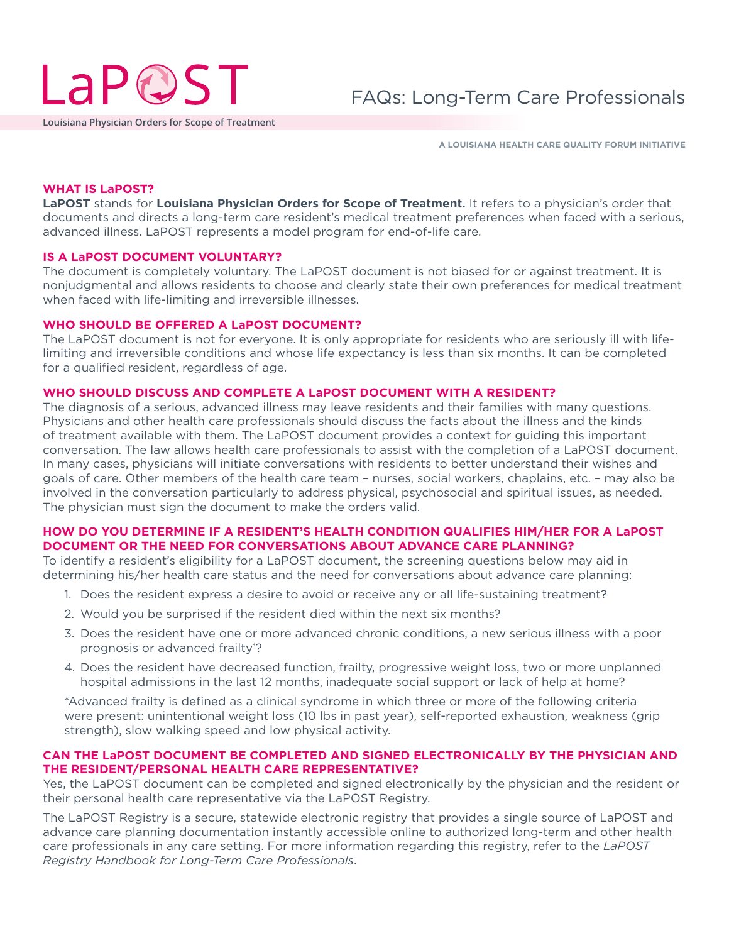

**Louisiana Physician Orders for Scope of Treatment**

**A LOUISIANA HEALTH CARE QUALITY FORUM INITIATIVE**

## **WHAT IS LaPOST?**

**LaPOST** stands for **Louisiana Physician Orders for Scope of Treatment.** It refers to a physician's order that documents and directs a long-term care resident's medical treatment preferences when faced with a serious, advanced illness. LaPOST represents a model program for end-of-life care.

# **IS A LaPOST DOCUMENT VOLUNTARY?**

The document is completely voluntary. The LaPOST document is not biased for or against treatment. It is nonjudgmental and allows residents to choose and clearly state their own preferences for medical treatment when faced with life-limiting and irreversible illnesses.

#### **WHO SHOULD BE OFFERED A LaPOST DOCUMENT?**

The LaPOST document is not for everyone. It is only appropriate for residents who are seriously ill with lifelimiting and irreversible conditions and whose life expectancy is less than six months. It can be completed for a qualified resident, regardless of age.

#### **WHO SHOULD DISCUSS AND COMPLETE A LaPOST DOCUMENT WITH A RESIDENT?**

The diagnosis of a serious, advanced illness may leave residents and their families with many questions. Physicians and other health care professionals should discuss the facts about the illness and the kinds of treatment available with them. The LaPOST document provides a context for guiding this important conversation. The law allows health care professionals to assist with the completion of a LaPOST document. In many cases, physicians will initiate conversations with residents to better understand their wishes and goals of care. Other members of the health care team – nurses, social workers, chaplains, etc. – may also be involved in the conversation particularly to address physical, psychosocial and spiritual issues, as needed. The physician must sign the document to make the orders valid.

# **HOW DO YOU DETERMINE IF A RESIDENT'S HEALTH CONDITION QUALIFIES HIM/HER FOR A LaPOST DOCUMENT OR THE NEED FOR CONVERSATIONS ABOUT ADVANCE CARE PLANNING?**

To identify a resident's eligibility for a LaPOST document, the screening questions below may aid in determining his/her health care status and the need for conversations about advance care planning:

- 1. Does the resident express a desire to avoid or receive any or all life-sustaining treatment?
- 2. Would you be surprised if the resident died within the next six months?
- 3. Does the resident have one or more advanced chronic conditions, a new serious illness with a poor prognosis or advanced frailty\* ?
- 4. Does the resident have decreased function, frailty, progressive weight loss, two or more unplanned hospital admissions in the last 12 months, inadequate social support or lack of help at home?

\*Advanced frailty is defined as a clinical syndrome in which three or more of the following criteria were present: unintentional weight loss (10 lbs in past year), self-reported exhaustion, weakness (grip strength), slow walking speed and low physical activity.

# **CAN THE LaPOST DOCUMENT BE COMPLETED AND SIGNED ELECTRONICALLY BY THE PHYSICIAN AND THE RESIDENT/PERSONAL HEALTH CARE REPRESENTATIVE?**

Yes, the LaPOST document can be completed and signed electronically by the physician and the resident or their personal health care representative via the LaPOST Registry.

The LaPOST Registry is a secure, statewide electronic registry that provides a single source of LaPOST and advance care planning documentation instantly accessible online to authorized long-term and other health care professionals in any care setting. For more information regarding this registry, refer to the *LaPOST Registry Handbook for Long-Term Care Professionals*.